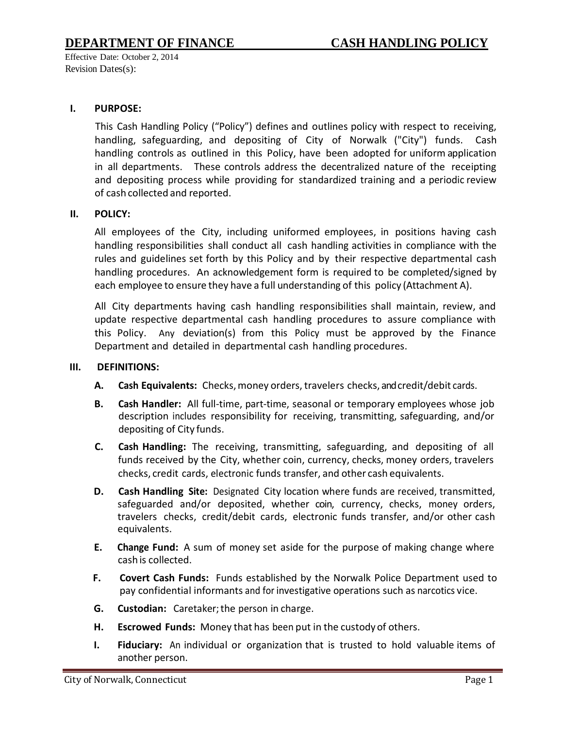## **I. PURPOSE:**

This Cash Handling Policy ("Policy") defines and outlines policy with respect to receiving, handling, safeguarding, and depositing of City of Norwalk ("City") funds. Cash handling controls as outlined in this Policy, have been adopted for uniform application in all departments. These controls address the decentralized nature of the receipting and depositing process while providing for standardized training and a periodic review of cash collected and reported.

## **II. POLICY:**

All employees of the City, including uniformed employees, in positions having cash handling responsibilities shall conduct all cash handling activities in compliance with the rules and guidelines set forth by this Policy and by their respective departmental cash handling procedures. An acknowledgement form is required to be completed/signed by each employee to ensure they have a full understanding of this policy (Attachment A).

All City departments having cash handling responsibilities shall maintain, review, and update respective departmental cash handling procedures to assure compliance with this Policy. Any deviation(s) from this Policy must be approved by the Finance Department and detailed in departmental cash handling procedures.

#### **III. DEFINITIONS:**

- A. **Cash Equivalents:** Checks, money orders, travelers checks, and credit/debit cards.
- **B. Cash Handler:** All full-time, part-time, seasonal or temporary employees whose job description includes responsibility for receiving, transmitting, safeguarding, and/or depositing of City funds.
- **C. Cash Handling:** The receiving, transmitting, safeguarding, and depositing of all funds received by the City, whether coin, currency, checks, money orders, travelers checks, credit cards, electronic funds transfer, and other cash equivalents.
- **D. Cash Handling Site:** Designated City location where funds are received, transmitted, safeguarded and/or deposited, whether coin, currency, checks, money orders, travelers checks, credit/debit cards, electronic funds transfer, and/or other cash equivalents.
- **E. Change Fund:** A sum of money set aside for the purpose of making change where cash is collected.
- **F. Covert Cash Funds:** Funds established by the Norwalk Police Department used to pay confidential informants and for investigative operations such as narcotics vice.
- **G. Custodian:** Caretaker;the person in charge.
- **H. Escrowed Funds:** Money that has been put in the custodyof others.
- **I. Fiduciary:** An individual or organization that is trusted to hold valuable items of another person.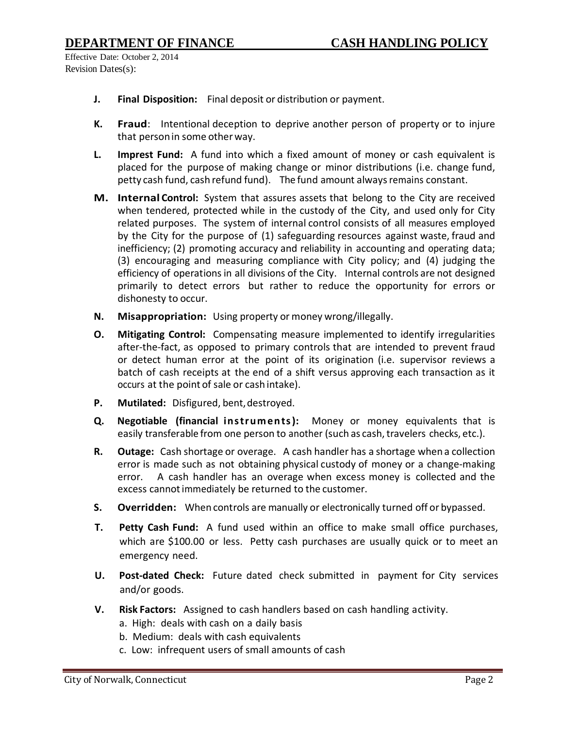- **J. Final Disposition:** Final deposit or distribution or payment.
- **K. Fraud**: Intentional deception to deprive another person of property or to injure that personin some otherway.
- **L. Imprest Fund:** A fund into which a fixed amount of money or cash equivalent is placed for the purpose of making change or minor distributions (i.e. change fund, petty cash fund, cash refund fund). The fund amount always remains constant.
- **M. Internal Control:** System that assures assets that belong to the City are received when tendered, protected while in the custody of the City, and used only for City related purposes. The system of internal control consists of all measures employed by the City for the purpose of (1) safeguarding resources against waste, fraud and inefficiency; (2) promoting accuracy and reliability in accounting and operating data; (3) encouraging and measuring compliance with City policy; and (4) judging the efficiency of operations in all divisions of the City. Internal controls are not designed primarily to detect errors but rather to reduce the opportunity for errors or dishonesty to occur.
- **N. Misappropriation:** Using property or money wrong/illegally.
- **O. Mitigating Control:** Compensating measure implemented to identify irregularities after-the-fact, as opposed to primary controls that are intended to prevent fraud or detect human error at the point of its origination (i.e. supervisor reviews a batch of cash receipts at the end of a shift versus approving each transaction as it occurs at the point of sale or cash intake).
- **P. Mutilated:** Disfigured, bent,destroyed.
- **Q. Negotiable (financial instruments):** Money or money equivalents that is easily transferable from one person to another (such as cash, travelers checks, etc.).
- **R. Outage:** Cash shortage or overage. A cash handler has a shortage when a collection error is made such as not obtaining physical custody of money or a change-making error. A cash handler has an overage when excess money is collected and the excess cannot immediately be returned to the customer.
- **S. Overridden:** When controls are manually or electronically turned off or bypassed.
- **T. Petty Cash Fund:** A fund used within an office to make small office purchases, which are \$100.00 or less. Petty cash purchases are usually quick or to meet an emergency need.
- **U. Post-dated Check:** Future dated check submitted in payment for City services and/or goods.
- **V. Risk Factors:** Assigned to cash handlers based on cash handling activity.
	- a. High: deals with cash on a daily basis
	- b. Medium: deals with cash equivalents
	- c. Low: infrequent users of small amounts of cash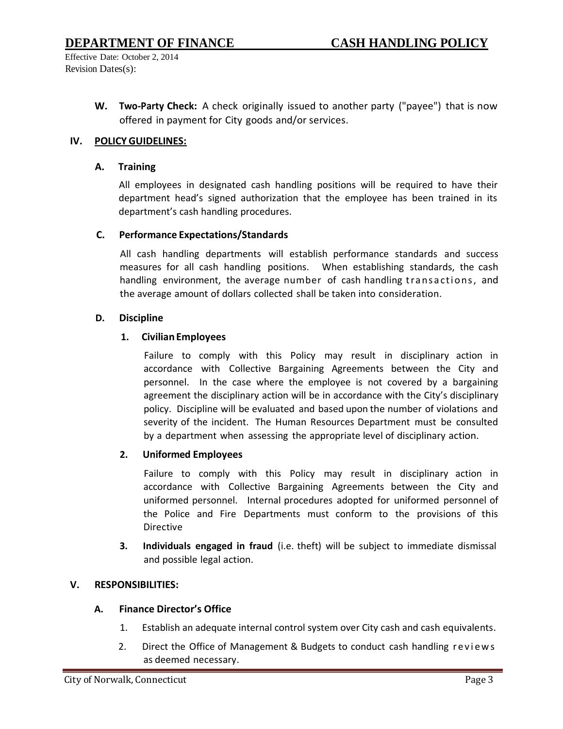> **W. Two-Party Check:** A check originally issued to another party ("payee") that is now offered in payment for City goods and/or services.

## **IV. POLICY GUIDELINES:**

#### **A. Training**

All employees in designated cash handling positions will be required to have their department head's signed authorization that the employee has been trained in its department's cash handling procedures.

#### **C. Performance Expectations/Standards**

All cash handling departments will establish performance standards and success measures for all cash handling positions. When establishing standards, the cash handling environment, the average number of cash handling transactions, and the average amount of dollars collected shall be taken into consideration.

#### **D. Discipline**

## **1. Civilian Employees**

Failure to comply with this Policy may result in disciplinary action in accordance with Collective Bargaining Agreements between the City and personnel. In the case where the employee is not covered by a bargaining agreement the disciplinary action will be in accordance with the City's disciplinary policy. Discipline will be evaluated and based upon the number of violations and severity of the incident. The Human Resources Department must be consulted by a department when assessing the appropriate level of disciplinary action.

#### **2. Uniformed Employees**

Failure to comply with this Policy may result in disciplinary action in accordance with Collective Bargaining Agreements between the City and uniformed personnel. Internal procedures adopted for uniformed personnel of the Police and Fire Departments must conform to the provisions of this Directive

**3. Individuals engaged in fraud** (i.e. theft) will be subject to immediate dismissal and possible legal action.

## **V. RESPONSIBILITIES:**

#### **A. Finance Director's Office**

- 1. Establish an adequate internal control system over City cash and cash equivalents.
- 2. Direct the Office of Management & Budgets to conduct cash handling reviews as deemed necessary.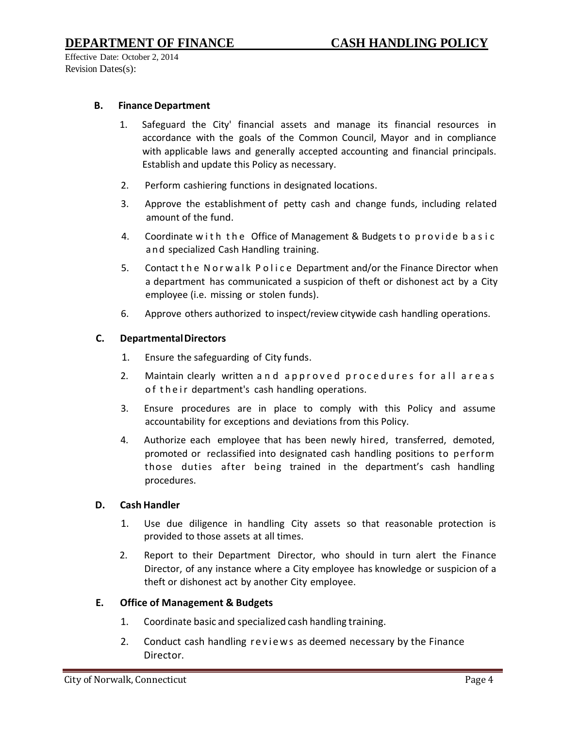#### **B.** Finance Department

- 1. Safeguard the City' financial assets and manage its financial resources in accordance with the goals of the Common Council, Mayor and in compliance with applicable laws and generally accepted accounting and financial principals. Establish and update this Policy as necessary.
- 2. Perform cashiering functions in designated locations.
- 3. Approve the establishment of petty cash and change funds, including related amount of the fund.
- 4. Coordinate with the Office of Management & Budgets to provide basic and specialized Cash Handling training.
- 5. Contact the Norwalk Police Department and/or the Finance Director when a department has communicated a suspicion of theft or dishonest act by a City employee (i.e. missing or stolen funds).
- 6. Approve others authorized to inspect/review citywide cash handling operations.

## **C. DepartmentalDirectors**

- 1. Ensure the safeguarding of City funds.
- 2. Maintain clearly written and approved procedures for all areas o f their department's cash handling operations.
- 3. Ensure procedures are in place to comply with this Policy and assume accountability for exceptions and deviations from this Policy.
- 4. Authorize each employee that has been newly hired, transferred, demoted, promoted or reclassified into designated cash handling positions to perform those duties after being trained in the department's cash handling procedures.

#### **D. Cash Handler**

- 1. Use due diligence in handling City assets so that reasonable protection is provided to those assets at all times.
- 2. Report to their Department Director, who should in turn alert the Finance Director, of any instance where a City employee has knowledge or suspicion of a theft or dishonest act by another City employee.

#### **E. Office of Management & Budgets**

- 1. Coordinate basic and specialized cash handling training.
- 2. Conduct cash handling reviews as deemed necessary by the Finance Director.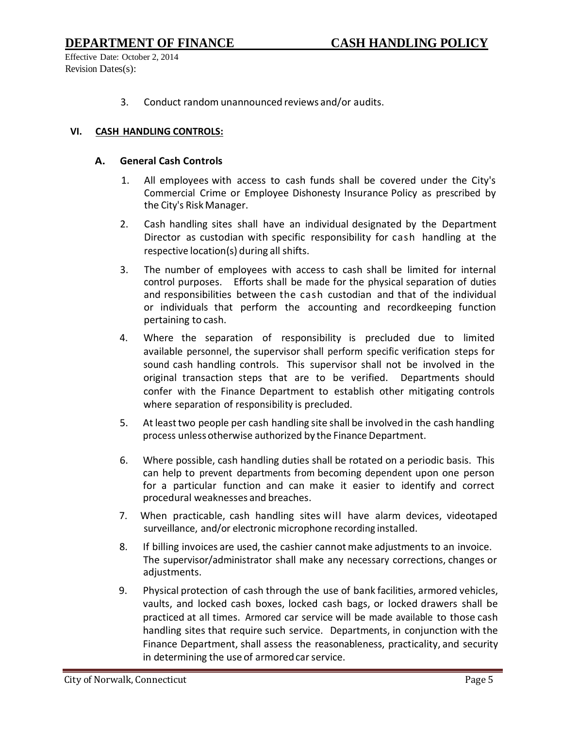## **DEPARTMENT OF FINANCE CASH HANDLING POLICY**

Effective Date: October 2, 2014 Revision Dates(s):

3. Conduct random unannounced reviews and/or audits.

#### **VI. CASH HANDLING CONTROLS:**

#### **A. General Cash Controls**

- 1. All employees with access to cash funds shall be covered under the City's Commercial Crime or Employee Dishonesty Insurance Policy as prescribed by the City's Risk Manager.
- 2. Cash handling sites shall have an individual designated by the Department Director as custodian with specific responsibility for cash handling at the respective location(s) during all shifts.
- 3. The number of employees with access to cash shall be limited for internal control purposes. Efforts shall be made for the physical separation of duties and responsibilities between the cash custodian and that of the individual or individuals that perform the accounting and recordkeeping function pertaining to cash.
- 4. Where the separation of responsibility is precluded due to limited available personnel, the supervisor shall perform specific verification steps for sound cash handling controls. This supervisor shall not be involved in the original transaction steps that are to be verified. Departments should confer with the Finance Department to establish other mitigating controls where separation of responsibility is precluded.
- 5. At leasttwo people per cash handling site shall be involved in the cash handling process unlessotherwise authorized by the Finance Department.
- 6. Where possible, cash handling duties shall be rotated on a periodic basis. This can help to prevent departments from becoming dependent upon one person for a particular function and can make it easier to identify and correct procedural weaknesses and breaches.
- 7. When practicable, cash handling sites will have alarm devices, videotaped surveillance, and/or electronic microphone recording installed.
- 8. If billing invoices are used, the cashier cannot make adjustments to an invoice. The supervisor/administrator shall make any necessary corrections, changes or adjustments.
- 9. Physical protection of cash through the use of bank facilities, armored vehicles, vaults, and locked cash boxes, locked cash bags, or locked drawers shall be practiced at all times. Armored car service will be made available to those cash handling sites that require such service. Departments, in conjunction with the Finance Department, shall assess the reasonableness, practicality, and security in determining the use of armored car service.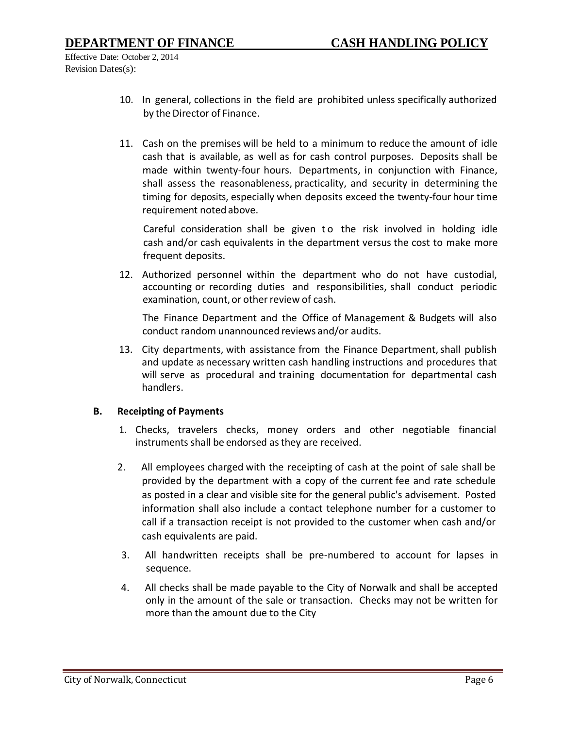- 10. In general, collections in the field are prohibited unless specifically authorized by the Director of Finance.
- 11. Cash on the premises will be held to a minimum to reduce the amount of idle cash that is available, as well as for cash control purposes. Deposits shall be made within twenty-four hours. Departments, in conjunction with Finance, shall assess the reasonableness, practicality, and security in determining the timing for deposits, especially when deposits exceed the twenty-four hour time requirement noted above.

Careful consideration shall be given to the risk involved in holding idle cash and/or cash equivalents in the department versus the cost to make more frequent deposits.

12. Authorized personnel within the department who do not have custodial, accounting or recording duties and responsibilities, shall conduct periodic examination, count, or other review of cash.

The Finance Department and the Office of Management & Budgets will also conduct random unannounced reviews and/or audits.

13. City departments, with assistance from the Finance Department, shall publish and update as necessary written cash handling instructions and procedures that will serve as procedural and training documentation for departmental cash handlers.

#### **B. Receipting of Payments**

- 1. Checks, travelers checks, money orders and other negotiable financial instruments shall be endorsed as they are received.
- 2. All employees charged with the receipting of cash at the point of sale shall be provided by the department with a copy of the current fee and rate schedule as posted in a clear and visible site for the general public's advisement. Posted information shall also include a contact telephone number for a customer to call if a transaction receipt is not provided to the customer when cash and/or cash equivalents are paid.
- 3. All handwritten receipts shall be pre-numbered to account for lapses in sequence.
- 4. All checks shall be made payable to the City of Norwalk and shall be accepted only in the amount of the sale or transaction. Checks may not be written for more than the amount due to the City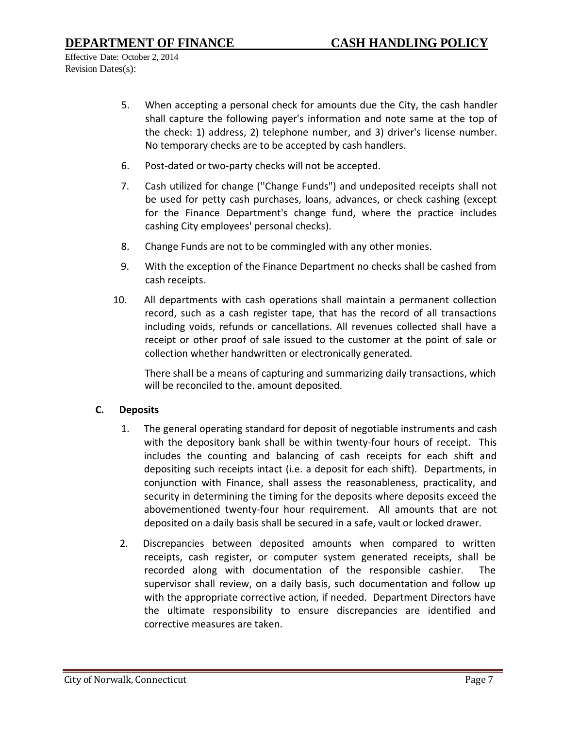- 5. When accepting a personal check for amounts due the City, the cash handler shall capture the following payer's information and note same at the top of the check: 1) address, 2) telephone number, and 3) driver's license number. No temporary checks are to be accepted by cash handlers.
- 6. Post-dated or two-party checks will not be accepted.
- 7. Cash utilized for change (''Change Funds") and undeposited receipts shall not be used for petty cash purchases, loans, advances, or check cashing (except for the Finance Department's change fund, where the practice includes cashing City employees' personal checks).
- 8. Change Funds are not to be commingled with any other monies.
- 9. With the exception of the Finance Department no checks shall be cashed from cash receipts.
- 10. All departments with cash operations shall maintain a permanent collection record, such as a cash register tape, that has the record of all transactions including voids, refunds or cancellations. All revenues collected shall have a receipt or other proof of sale issued to the customer at the point of sale or collection whether handwritten or electronically generated.

There shall be a means of capturing and summarizing daily transactions, which will be reconciled to the. amount deposited.

## **C. Deposits**

- 1. The general operating standard for deposit of negotiable instruments and cash with the depository bank shall be within twenty-four hours of receipt. This includes the counting and balancing of cash receipts for each shift and depositing such receipts intact (i.e. a deposit for each shift). Departments, in conjunction with Finance, shall assess the reasonableness, practicality, and security in determining the timing for the deposits where deposits exceed the abovementioned twenty-four hour requirement. All amounts that are not deposited on a daily basis shall be secured in a safe, vault or locked drawer.
- 2. Discrepancies between deposited amounts when compared to written receipts, cash register, or computer system generated receipts, shall be recorded along with documentation of the responsible cashier. The supervisor shall review, on a daily basis, such documentation and follow up with the appropriate corrective action, if needed. Department Directors have the ultimate responsibility to ensure discrepancies are identified and corrective measures are taken.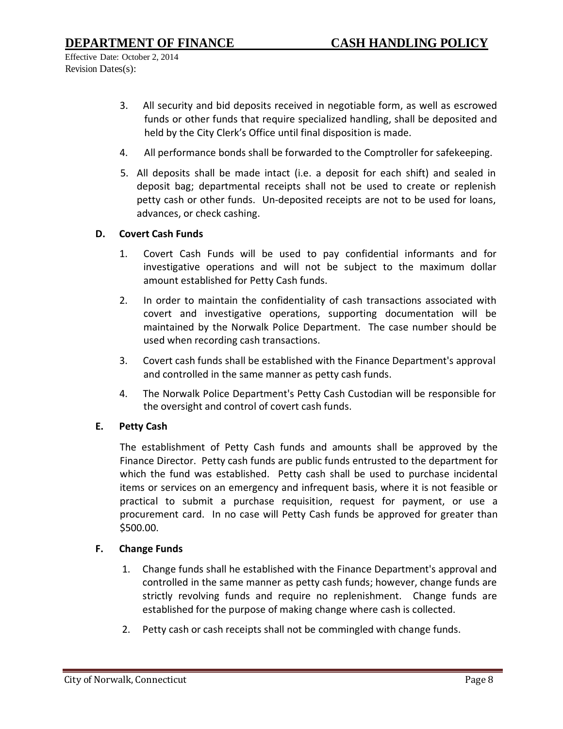- 3. All security and bid deposits received in negotiable form, as well as escrowed funds or other funds that require specialized handling, shall be deposited and held by the City Clerk's Office until final disposition is made.
- 4. All performance bonds shall be forwarded to the Comptroller for safekeeping.
- 5. All deposits shall be made intact (i.e. a deposit for each shift) and sealed in deposit bag; departmental receipts shall not be used to create or replenish petty cash or other funds. Un-deposited receipts are not to be used for loans, advances, or check cashing.

#### **D. Covert Cash Funds**

- 1. Covert Cash Funds will be used to pay confidential informants and for investigative operations and will not be subject to the maximum dollar amount established for Petty Cash funds.
- 2. In order to maintain the confidentiality of cash transactions associated with covert and investigative operations, supporting documentation will be maintained by the Norwalk Police Department. The case number should be used when recording cash transactions.
- 3. Covert cash funds shall be established with the Finance Department's approval and controlled in the same manner as petty cash funds.
- 4. The Norwalk Police Department's Petty Cash Custodian will be responsible for the oversight and control of covert cash funds.

#### **E. Petty Cash**

The establishment of Petty Cash funds and amounts shall be approved by the Finance Director. Petty cash funds are public funds entrusted to the department for which the fund was established. Petty cash shall be used to purchase incidental items or services on an emergency and infrequent basis, where it is not feasible or practical to submit a purchase requisition, request for payment, or use a procurement card. In no case will Petty Cash funds be approved for greater than \$500.00.

#### **F. Change Funds**

- 1. Change funds shall he established with the Finance Department's approval and controlled in the same manner as petty cash funds; however, change funds are strictly revolving funds and require no replenishment. Change funds are established for the purpose of making change where cash is collected.
- 2. Petty cash or cash receipts shall not be commingled with change funds.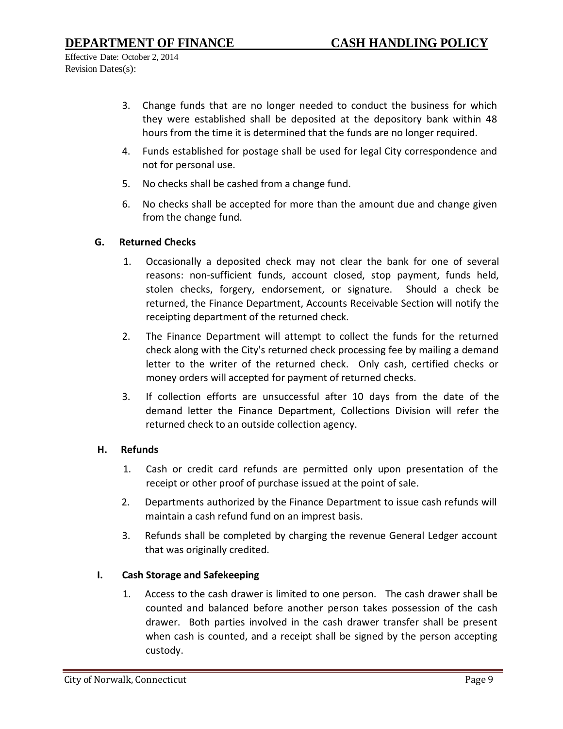- 3. Change funds that are no longer needed to conduct the business for which they were established shall be deposited at the depository bank within 48 hours from the time it is determined that the funds are no longer required.
- 4. Funds established for postage shall be used for legal City correspondence and not for personal use.
- 5. No checks shall be cashed from a change fund.
- 6. No checks shall be accepted for more than the amount due and change given from the change fund.

## **G. Returned Checks**

- 1. Occasionally a deposited check may not clear the bank for one of several reasons: non-sufficient funds, account closed, stop payment, funds held, stolen checks, forgery, endorsement, or signature. Should a check be returned, the Finance Department, Accounts Receivable Section will notify the receipting department of the returned check.
- 2. The Finance Department will attempt to collect the funds for the returned check along with the City's returned check processing fee by mailing a demand letter to the writer of the returned check. Only cash, certified checks or money orders will accepted for payment of returned checks.
- 3. If collection efforts are unsuccessful after 10 days from the date of the demand letter the Finance Department, Collections Division will refer the returned check to an outside collection agency.

#### **H. Refunds**

- 1. Cash or credit card refunds are permitted only upon presentation of the receipt or other proof of purchase issued at the point of sale.
- 2. Departments authorized by the Finance Department to issue cash refunds will maintain a cash refund fund on an imprest basis.
- 3. Refunds shall be completed by charging the revenue General Ledger account that was originally credited.

## **I. Cash Storage and Safekeeping**

1. Access to the cash drawer is limited to one person. The cash drawer shall be counted and balanced before another person takes possession of the cash drawer. Both parties involved in the cash drawer transfer shall be present when cash is counted, and a receipt shall be signed by the person accepting custody.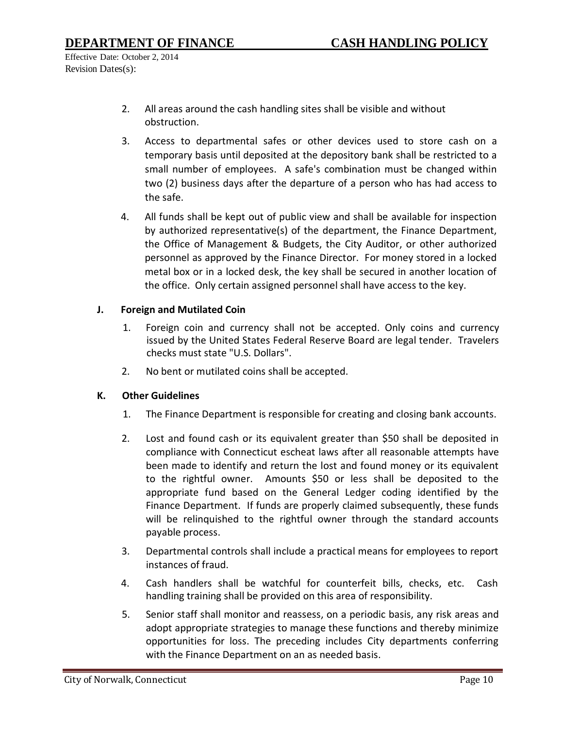- 2. All areas around the cash handling sites shall be visible and without obstruction.
- 3. Access to departmental safes or other devices used to store cash on a temporary basis until deposited at the depository bank shall be restricted to a small number of employees. A safe's combination must be changed within two (2) business days after the departure of a person who has had access to the safe.
- 4. All funds shall be kept out of public view and shall be available for inspection by authorized representative(s) of the department, the Finance Department, the Office of Management & Budgets, the City Auditor, or other authorized personnel as approved by the Finance Director. For money stored in a locked metal box or in a locked desk, the key shall be secured in another location of the office. Only certain assigned personnel shall have access to the key.

## **J. Foreign and Mutilated Coin**

- 1. Foreign coin and currency shall not be accepted. Only coins and currency issued by the United States Federal Reserve Board are legal tender. Travelers checks must state "U.S. Dollars".
- 2. No bent or mutilated coins shall be accepted.

#### **K. Other Guidelines**

- 1. The Finance Department is responsible for creating and closing bank accounts.
- 2. Lost and found cash or its equivalent greater than \$50 shall be deposited in compliance with Connecticut escheat laws after all reasonable attempts have been made to identify and return the lost and found money or its equivalent to the rightful owner. Amounts \$50 or less shall be deposited to the appropriate fund based on the General Ledger coding identified by the Finance Department. If funds are properly claimed subsequently, these funds will be relinquished to the rightful owner through the standard accounts payable process.
- 3. Departmental controls shall include a practical means for employees to report instances of fraud.
- 4. Cash handlers shall be watchful for counterfeit bills, checks, etc. Cash handling training shall be provided on this area of responsibility.
- 5. Senior staff shall monitor and reassess, on a periodic basis, any risk areas and adopt appropriate strategies to manage these functions and thereby minimize opportunities for loss. The preceding includes City departments conferring with the Finance Department on an as needed basis.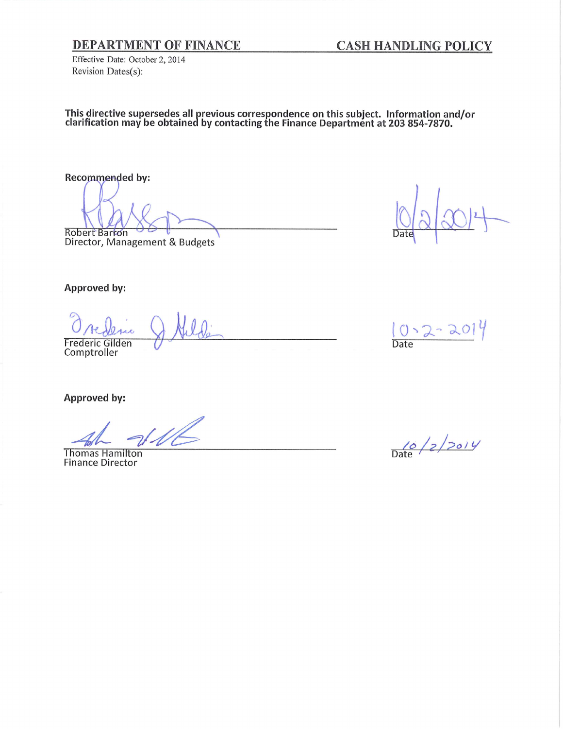## **DEPARTMENT OF FINANCE**

**CASH HANDLING POLICY** 

Effective Date: October 2, 2014 Revision Dates(s):

This directive supersedes all previous correspondence on this subject. Information and/or clarification may be obtained by contacting the Finance Department at 203 854-7870.

Recommended by:

Robert Barron Director, Management & Budgets

**Date** 

Approved by:

u Frederic Gilden<br>Comptroller

Approved by:

**Thomas Hamilton Finance Director** 



 $\frac{10}{\text{Date}}$  /2/2014